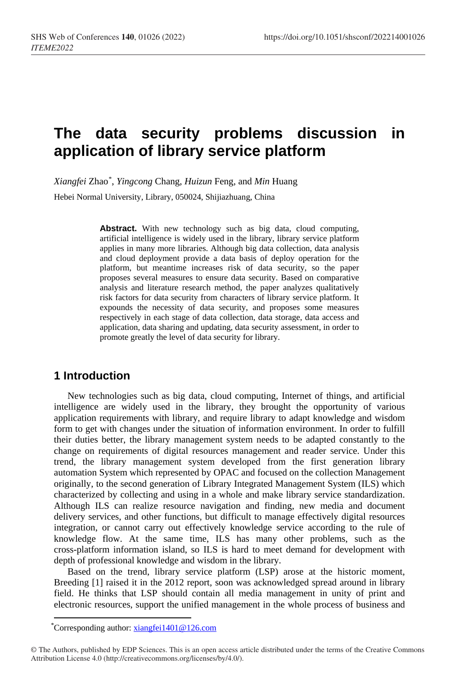# **The data security problems discussion in application of library service platform**

*Xiangfei* Zhao[\\*](#page-0-0) , *Yingcong* Chang, *Huizun* Feng, and *Min* Huang

Hebei Normal University, Library, 050024, Shijiazhuang, China

**Abstract.** With new technology such as big data, cloud computing, artificial intelligence is widely used in the library, library service platform applies in many more libraries. Although big data collection, data analysis and cloud deployment provide a data basis of deploy operation for the platform, but meantime increases risk of data security, so the paper proposes several measures to ensure data security. Based on comparative analysis and literature research method, the paper analyzes qualitatively risk factors for data security from characters of library service platform. It expounds the necessity of data security, and proposes some measures respectively in each stage of data collection, data storage, data access and application, data sharing and updating, data security assessment, in order to promote greatly the level of data security for library.

## **1 Introduction**

New technologies such as big data, cloud computing, Internet of things, and artificial intelligence are widely used in the library, they brought the opportunity of various application requirements with library, and require library to adapt knowledge and wisdom form to get with changes under the situation of information environment. In order to fulfill their duties better, the library management system needs to be adapted constantly to the change on requirements of digital resources management and reader service. Under this trend, the library management system developed from the first generation library automation System which represented by OPAC and focused on the collection Management originally, to the second generation of Library Integrated Management System (ILS) which characterized by collecting and using in a whole and make library service standardization. Although ILS can realize resource navigation and finding, new media and document delivery services, and other functions, but difficult to manage effectively digital resources integration, or cannot carry out effectively knowledge service according to the rule of knowledge flow. At the same time, ILS has many other problems, such as the cross-platform information island, so ILS is hard to meet demand for development with depth of professional knowledge and wisdom in the library.

Based on the trend, library service platform (LSP) arose at the historic moment, Breeding [1] raised it in the 2012 report, soon was acknowledged spread around in library field. He thinks that LSP should contain all media management in unity of print and electronic resources, support the unified management in the whole process of business and

l

<sup>\*</sup>Corresponding author: [xiangfei1401@126.com](mailto:xiangfei1401@126.com)

<span id="page-0-0"></span><sup>©</sup> The Authors, published by EDP Sciences. This is an open access article distributed under the terms of the Creative Commons Attribution License 4.0 (http://creativecommons.org/licenses/by/4.0/).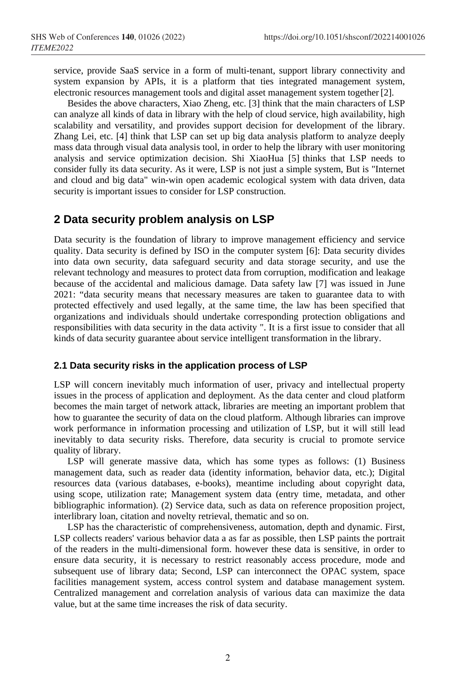service, provide SaaS service in a form of multi-tenant, support library connectivity and system expansion by APIs, it is a platform that ties integrated management system, electronic resources management tools and digital asset management system together[2].

Besides the above characters, Xiao Zheng, etc. [3] think that the main characters of LSP can analyze all kinds of data in library with the help of cloud service, high availability, high scalability and versatility, and provides support decision for development of the library. Zhang Lei, etc. [4] think that LSP can set up big data analysis platform to analyze deeply mass data through visual data analysis tool, in order to help the library with user monitoring analysis and service optimization decision. Shi XiaoHua [5] thinks that LSP needs to consider fully its data security. As it were, LSP is not just a simple system, But is "Internet and cloud and big data" win-win open academic ecological system with data driven, data security is important issues to consider for LSP construction.

# **2 Data security problem analysis on LSP**

Data security is the foundation of library to improve management efficiency and service quality. Data security is defined by ISO in the computer system [6]: Data security divides into data own security, data safeguard security and data storage security, and use the relevant technology and measures to protect data from corruption, modification and leakage because of the accidental and malicious damage. Data safety law [7] was issued in June 2021: "data security means that necessary measures are taken to guarantee data to with protected effectively and used legally, at the same time, the law has been specified that organizations and individuals should undertake corresponding protection obligations and responsibilities with data security in the data activity ". It is a first issue to consider that all kinds of data security guarantee about service intelligent transformation in the library.

#### **2.1 Data security risks in the application process of LSP**

LSP will concern inevitably much information of user, privacy and intellectual property issues in the process of application and deployment. As the data center and cloud platform becomes the main target of network attack, libraries are meeting an important problem that how to guarantee the security of data on the cloud platform. Although libraries can improve work performance in information processing and utilization of LSP, but it will still lead inevitably to data security risks. Therefore, data security is crucial to promote service quality of library.

LSP will generate massive data, which has some types as follows: (1) Business management data, such as reader data (identity information, behavior data, etc.); Digital resources data (various databases, e-books), meantime including about copyright data, using scope, utilization rate; Management system data (entry time, metadata, and other bibliographic information). (2) Service data, such as data on reference proposition project, interlibrary loan, citation and novelty retrieval, thematic and so on.

LSP has the characteristic of comprehensiveness, automation, depth and dynamic. First, LSP collects readers' various behavior data a as far as possible, then LSP paints the portrait of the readers in the multi-dimensional form. however these data is sensitive, in order to ensure data security, it is necessary to restrict reasonably access procedure, mode and subsequent use of library data; Second, LSP can interconnect the OPAC system, space facilities management system, access control system and database management system. Centralized management and correlation analysis of various data can maximize the data value, but at the same time increases the risk of data security.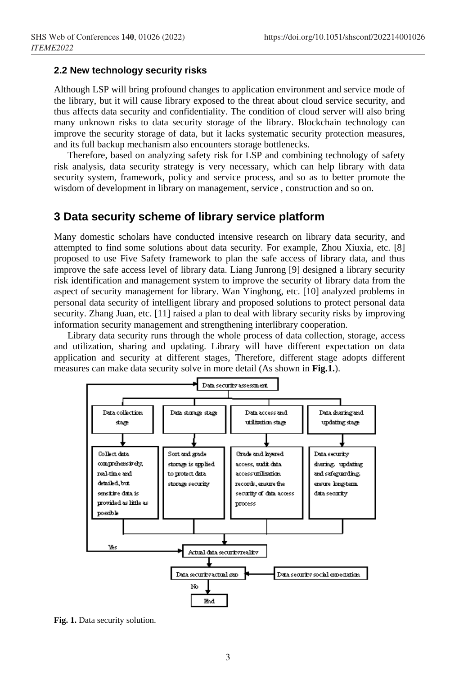#### **2.2 New technology security risks**

Although LSP will bring profound changes to application environment and service mode of the library, but it will cause library exposed to the threat about cloud service security, and thus affects data security and confidentiality. The condition of cloud server will also bring many unknown risks to data security storage of the library. Blockchain technology can improve the security storage of data, but it lacks systematic security protection measures, and its full backup mechanism also encounters storage bottlenecks.

Therefore, based on analyzing safety risk for LSP and combining technology of safety risk analysis, data security strategy is very necessary, which can help library with data security system, framework, policy and service process, and so as to better promote the wisdom of development in library on management, service , construction and so on.

### **3 Data security scheme of library service platform**

Many domestic scholars have conducted intensive research on library data security, and attempted to find some solutions about data security. For example, Zhou Xiuxia, etc. [8] proposed to use Five Safety framework to plan the safe access of library data, and thus improve the safe access level of library data. Liang Junrong [9] designed a library security risk identification and management system to improve the security of library data from the aspect of security management for library. Wan Yinghong, etc. [10] analyzed problems in personal data security of intelligent library and proposed solutions to protect personal data security. Zhang Juan, etc. [11] raised a plan to deal with library security risks by improving information security management and strengthening interlibrary cooperation.

Library data security runs through the whole process of data collection, storage, access and utilization, sharing and updating. Library will have different expectation on data application and security at different stages, Therefore, different stage adopts different measures can make data security solve in more detail (As shown in **Fig.1.**).



**Fig. 1.** Data security solution.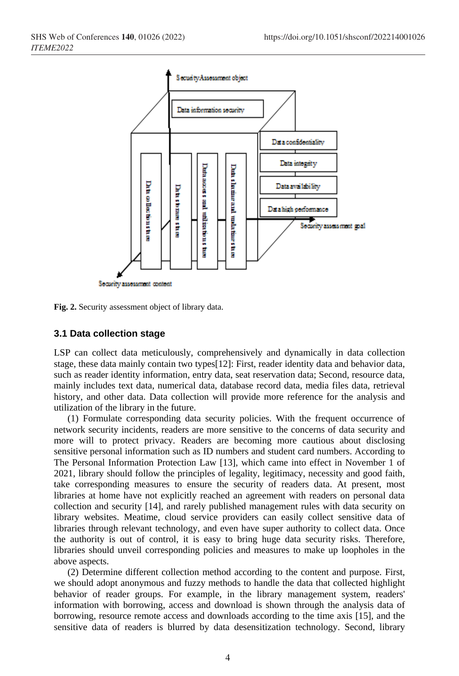



#### **3.1 Data collection stage**

LSP can collect data meticulously, comprehensively and dynamically in data collection stage, these data mainly contain two types[12]: First, reader identity data and behavior data, such as reader identity information, entry data, seat reservation data; Second, resource data, mainly includes text data, numerical data, database record data, media files data, retrieval history, and other data. Data collection will provide more reference for the analysis and utilization of the library in the future.

(1) Formulate corresponding data security policies. With the frequent occurrence of network security incidents, readers are more sensitive to the concerns of data security and more will to protect privacy. Readers are becoming more cautious about disclosing sensitive personal information such as ID numbers and student card numbers. According to The Personal Information Protection Law [13], which came into effect in November 1 of 2021, library should follow the principles of legality, legitimacy, necessity and good faith, take corresponding measures to ensure the security of readers data. At present, most libraries at home have not explicitly reached an agreement with readers on personal data collection and security [14], and rarely published management rules with data security on library websites. Meatime, cloud service providers can easily collect sensitive data of libraries through relevant technology, and even have super authority to collect data. Once the authority is out of control, it is easy to bring huge data security risks. Therefore, libraries should unveil corresponding policies and measures to make up loopholes in the above aspects.

(2) Determine different collection method according to the content and purpose. First, we should adopt anonymous and fuzzy methods to handle the data that collected highlight behavior of reader groups. For example, in the library management system, readers' information with borrowing, access and download is shown through the analysis data of borrowing, resource remote access and downloads according to the time axis [15], and the sensitive data of readers is blurred by data desensitization technology. Second, library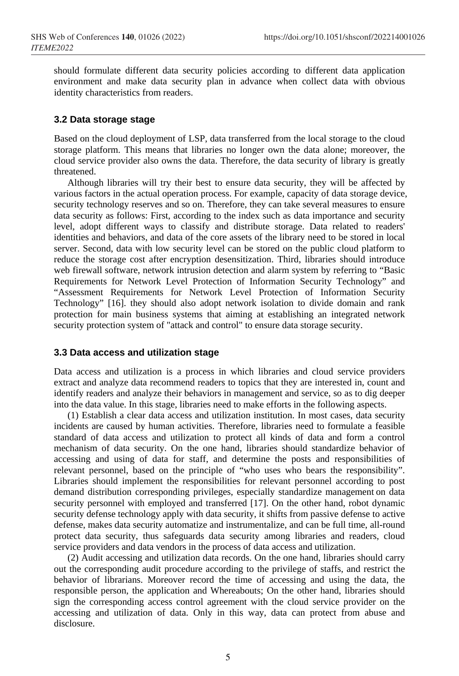should formulate different data security policies according to different data application environment and make data security plan in advance when collect data with obvious identity characteristics from readers.

#### **3.2 Data storage stage**

Based on the cloud deployment of LSP, data transferred from the local storage to the cloud storage platform. This means that libraries no longer own the data alone; moreover, the cloud service provider also owns the data. Therefore, the data security of library is greatly threatened.

Although libraries will try their best to ensure data security, they will be affected by various factors in the actual operation process. For example, capacity of data storage device, security technology reserves and so on. Therefore, they can take several measures to ensure data security as follows: First, according to the index such as data importance and security level, adopt different ways to classify and distribute storage. Data related to readers' identities and behaviors, and data of the core assets of the library need to be stored in local server. Second, data with low security level can be stored on the public cloud platform to reduce the storage cost after encryption desensitization. Third, libraries should introduce web firewall software, network intrusion detection and alarm system by referring to "Basic Requirements for Network Level Protection of Information Security Technology" and "Assessment Requirements for Network Level Protection of Information Security Technology" [16]. they should also adopt network isolation to divide domain and rank protection for main business systems that aiming at establishing an integrated network security protection system of "attack and control" to ensure data storage security.

#### **3.3 Data access and utilization stage**

Data access and utilization is a process in which libraries and cloud service providers extract and analyze data recommend readers to topics that they are interested in, count and identify readers and analyze their behaviors in management and service, so as to dig deeper into the data value. In this stage, libraries need to make efforts in the following aspects.

(1) Establish a clear data access and utilization institution. In most cases, data security incidents are caused by human activities. Therefore, libraries need to formulate a feasible standard of data access and utilization to protect all kinds of data and form a control mechanism of data security. On the one hand, libraries should standardize behavior of accessing and using of data for staff, and determine the posts and responsibilities of relevant personnel, based on the principle of "who uses who bears the responsibility". Libraries should implement the responsibilities for relevant personnel according to post demand distribution corresponding privileges, especially standardize management on data security personnel with employed and transferred [17]. On the other hand, robot dynamic security defense technology apply with data security, it shifts from passive defense to active defense, makes data security automatize and instrumentalize, and can be full time, all-round protect data security, thus safeguards data security among libraries and readers, cloud service providers and data vendors in the process of data access and utilization.

(2) Audit accessing and utilization data records. On the one hand, libraries should carry out the corresponding audit procedure according to the privilege of staffs, and restrict the behavior of librarians. Moreover record the time of accessing and using the data, the responsible person, the application and Whereabouts; On the other hand, libraries should sign the corresponding access control agreement with the cloud service provider on the accessing and utilization of data. Only in this way, data can protect from abuse and disclosure.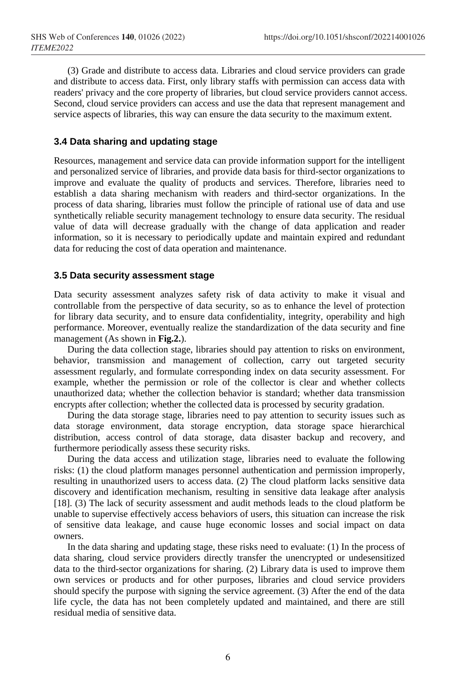(3) Grade and distribute to access data. Libraries and cloud service providers can grade and distribute to access data. First, only library staffs with permission can access data with readers' privacy and the core property of libraries, but cloud service providers cannot access. Second, cloud service providers can access and use the data that represent management and service aspects of libraries, this way can ensure the data security to the maximum extent.

#### **3.4 Data sharing and updating stage**

Resources, management and service data can provide information support for the intelligent and personalized service of libraries, and provide data basis for third-sector organizations to improve and evaluate the quality of products and services. Therefore, libraries need to establish a data sharing mechanism with readers and third-sector organizations. In the process of data sharing, libraries must follow the principle of rational use of data and use synthetically reliable security management technology to ensure data security. The residual value of data will decrease gradually with the change of data application and reader information, so it is necessary to periodically update and maintain expired and redundant data for reducing the cost of data operation and maintenance.

#### **3.5 Data security assessment stage**

Data security assessment analyzes safety risk of data activity to make it visual and controllable from the perspective of data security, so as to enhance the level of protection for library data security, and to ensure data confidentiality, integrity, operability and high performance. Moreover, eventually realize the standardization of the data security and fine management (As shown in **Fig.2.**).

During the data collection stage, libraries should pay attention to risks on environment, behavior, transmission and management of collection, carry out targeted security assessment regularly, and formulate corresponding index on data security assessment. For example, whether the permission or role of the collector is clear and whether collects unauthorized data; whether the collection behavior is standard; whether data transmission encrypts after collection; whether the collected data is processed by security gradation.

During the data storage stage, libraries need to pay attention to security issues such as data storage environment, data storage encryption, data storage space hierarchical distribution, access control of data storage, data disaster backup and recovery, and furthermore periodically assess these security risks.

During the data access and utilization stage, libraries need to evaluate the following risks: (1) the cloud platform manages personnel authentication and permission improperly, resulting in unauthorized users to access data. (2) The cloud platform lacks sensitive data discovery and identification mechanism, resulting in sensitive data leakage after analysis [18]. (3) The lack of security assessment and audit methods leads to the cloud platform be unable to supervise effectively access behaviors of users, this situation can increase the risk of sensitive data leakage, and cause huge economic losses and social impact on data owners.

In the data sharing and updating stage, these risks need to evaluate: (1) In the process of data sharing, cloud service providers directly transfer the unencrypted or undesensitized data to the third-sector organizations for sharing. (2) Library data is used to improve them own services or products and for other purposes, libraries and cloud service providers should specify the purpose with signing the service agreement. (3) After the end of the data life cycle, the data has not been completely updated and maintained, and there are still residual media of sensitive data.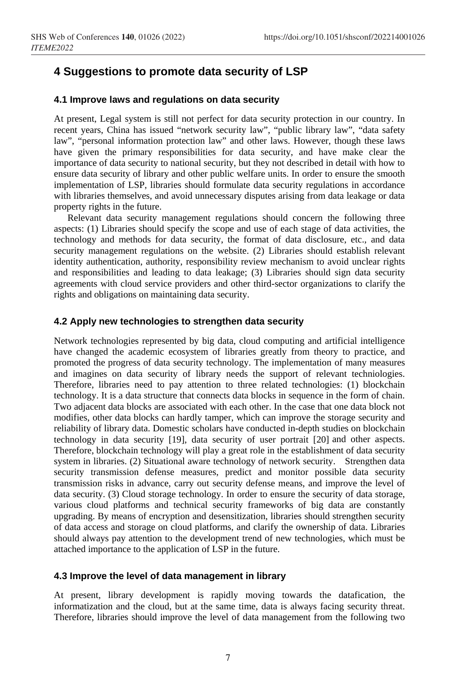# **4 Suggestions to promote data security of LSP**

#### **4.1 Improve laws and regulations on data security**

At present, Legal system is still not perfect for data security protection in our country. In recent years, China has issued "network security law", "public library law", "data safety law", "personal information protection law" and other laws. However, though these laws have given the primary responsibilities for data security, and have make clear the importance of data security to national security, but they not described in detail with how to ensure data security of library and other public welfare units. In order to ensure the smooth implementation of LSP, libraries should formulate data security regulations in accordance with libraries themselves, and avoid unnecessary disputes arising from data leakage or data property rights in the future.

Relevant data security management regulations should concern the following three aspects: (1) Libraries should specify the scope and use of each stage of data activities, the technology and methods for data security, the format of data disclosure, etc., and data security management regulations on the website. (2) Libraries should establish relevant identity authentication, authority, responsibility review mechanism to avoid unclear rights and responsibilities and leading to data leakage; (3) Libraries should sign data security agreements with cloud service providers and other third-sector organizations to clarify the rights and obligations on maintaining data security.

#### **4.2 Apply new technologies to strengthen data security**

Network technologies represented by big data, cloud computing and artificial intelligence have changed the academic ecosystem of libraries greatly from theory to practice, and promoted the progress of data security technology. The implementation of many measures and imagines on data security of library needs the support of relevant techniologies. Therefore, libraries need to pay attention to three related technologies: (1) blockchain technology. It is a data structure that connects data blocks in sequence in the form of chain. Two adjacent data blocks are associated with each other. In the case that one data block not modifies, other data blocks can hardly tamper, which can improve the storage security and reliability of library data. Domestic scholars have conducted in-depth studies on blockchain technology in data security [19], data security of user portrait [20] and other aspects. Therefore, blockchain technology will play a great role in the establishment of data security system in libraries. (2) Situational aware technology of network security. Strengthen data security transmission defense measures, predict and monitor possible data security transmission risks in advance, carry out security defense means, and improve the level of data security. (3) Cloud storage technology. In order to ensure the security of data storage, various cloud platforms and technical security frameworks of big data are constantly upgrading. By means of encryption and desensitization, libraries should strengthen security of data access and storage on cloud platforms, and clarify the ownership of data. Libraries should always pay attention to the development trend of new technologies, which must be attached importance to the application of LSP in the future.

#### **4.3 Improve the level of data management in library**

At present, library development is rapidly moving towards the datafication, the informatization and the cloud, but at the same time, data is always facing security threat. Therefore, libraries should improve the level of data management from the following two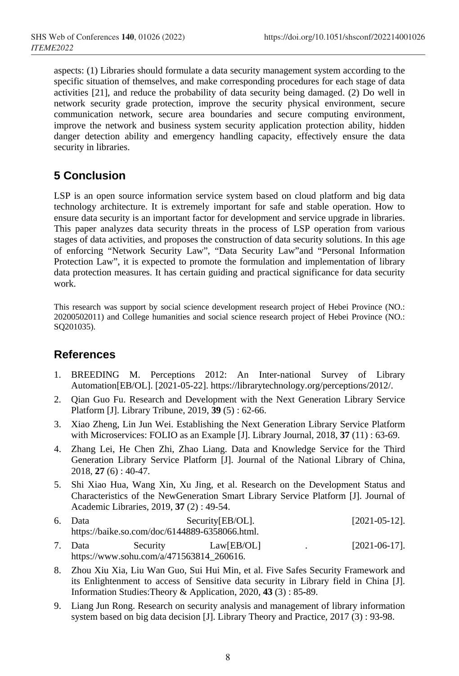aspects: (1) Libraries should formulate a data security management system according to the specific situation of themselves, and make corresponding procedures for each stage of data activities [21], and reduce the probability of data security being damaged. (2) Do well in network security grade protection, improve the security physical environment, secure communication network, secure area boundaries and secure computing environment, improve the network and business system security application protection ability, hidden danger detection ability and emergency handling capacity, effectively ensure the data security in libraries.

# **5 Conclusion**

LSP is an open source information service system based on cloud platform and big data technology architecture. It is extremely important for safe and stable operation. How to ensure data security is an important factor for development and service upgrade in libraries. This paper analyzes data security threats in the process of LSP operation from various stages of data activities, and proposes the construction of data security solutions. In this age of enforcing "Network Security Law", "Data Security Law"and "Personal Information Protection Law", it is expected to promote the formulation and implementation of library data protection measures. It has certain guiding and practical significance for data security work.

This research was support by social science development research project of Hebei Province (NO.: 20200502011) and College humanities and social science research project of Hebei Province (NO.: SQ201035).

# **References**

- 1. BREEDING M. Perceptions 2012: An Inter-national Survey of Library Automation[EB/OL]. [2021-05-22]. https://librarytechnology.org/perceptions/2012/.
- 2. Qian Guo Fu. Research and Development with the Next Generation Library Service Platform [J]. Library Tribune, 2019, **39** (5) : 62-66.
- 3. Xiao Zheng, Lin Jun Wei. Establishing the Next Generation Library Service Platform with Microservices: FOLIO as an Example [J]. Library Journal, 2018, **37** (11) : 63-69.
- 4. Zhang Lei, He Chen Zhi, Zhao Liang. Data and Knowledge Service for the Third Generation Library Service Platform [J]. Journal of the National Library of China, 2018, **27** (6) : 40-47.
- 5. Shi Xiao Hua, Wang Xin, Xu Jing, et al. Research on the Development Status and Characteristics of the NewGeneration Smart Library Service Platform [J]. Journal of Academic Libraries, 2019, **37** (2) : 49-54.
- 6. Data Security[EB/OL]. [2021-05-12]. https://baike.so.com/doc/6144889-6358066.html. 7. Data Security Law[EB/OL] . [2021-06-17].
- https://www.sohu.com/a/471563814\_260616.
- 8. Zhou Xiu Xia, Liu Wan Guo, Sui Hui Min, et al. Five Safes Security Framework and its Enlightenment to access of Sensitive data security in Library field in China [J]. Information Studies:Theory & Application, 2020, **43** (3) : 85**-**89.
- 9. Liang Jun Rong. Research on security analysis and management of library information system based on big data decision [J]. Library Theory and Practice, 2017 (3) : 93-98.